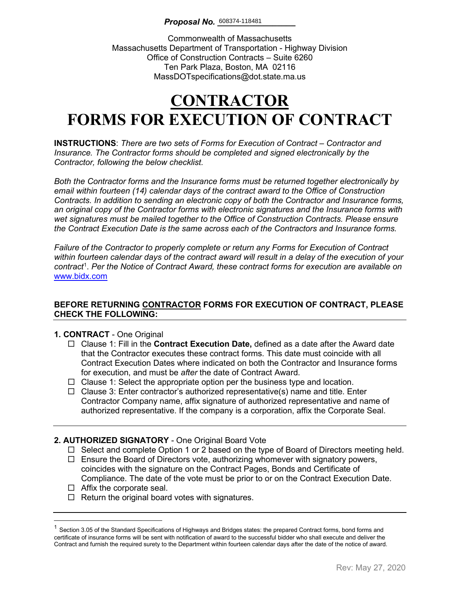Commonwealth of Massachusetts Massachusetts Department of Transportation - Highway Division Office of Construction Contracts – Suite 6260 Ten Park Plaza, Boston, MA 02116 MassDOTspecifications@dot.state.ma.us

# **CONTRACTOR FORMS FOR EXECUTION OF CONTRACT**

**INSTRUCTIONS**: *There are two sets of Forms for Execution of Contract – Contractor and Insurance. The Contractor forms should be completed and signed electronically by the Contractor, following the below checklist.* 

*Both the Contractor forms and the Insurance forms must be returned together electronically by email within fourteen (14) calendar days of the contract award to the Office of Construction Contracts. In addition to sending an electronic copy of both the Contractor and Insurance forms, an original copy of the Contractor forms with electronic signatures and the Insurance forms with wet signatures must be mailed together to the Office of Construction Contracts. Please ensure the Contract Execution Date is the same across each of the Contractors and Insurance forms.*

*Failure of the Contractor to properly complete or return any Forms for Execution of Contract within fourteen calendar days of the contract award will result in a delay of the execution of your contract*[1](#page-0-0) . *Per the Notice of Contract Award, these contract forms for execution are available on*  [www.bidx.com](http://www.bidx.com/)

#### **BEFORE RETURNING CONTRACTOR FORMS FOR EXECUTION OF CONTRACT, PLEASE CHECK THE FOLLOWING:**

#### **1. CONTRACT** - One Original

- Clause 1: Fill in the **Contract Execution Date,** defined as a date after the Award date that the Contractor executes these contract forms. This date must coincide with all Contract Execution Dates where indicated on both the Contractor and Insurance forms for execution, and must be *after* the date of Contract Award.
- $\Box$  Clause 1: Select the appropriate option per the business type and location.
- $\Box$  Clause 3: Enter contractor's authorized representative(s) name and title. Enter Contractor Company name, affix signature of authorized representative and name of authorized representative. If the company is a corporation, affix the Corporate Seal.

#### **2. AUTHORIZED SIGNATORY** - One Original Board Vote

- $\Box$  Select and complete Option 1 or 2 based on the type of Board of Directors meeting held.
- $\Box$  Ensure the Board of Directors vote, authorizing whomever with signatory powers, coincides with the signature on the Contract Pages, Bonds and Certificate of Compliance. The date of the vote must be prior to or on the Contract Execution Date.
- $\Box$  Affix the corporate seal.
- $\Box$  Return the original board votes with signatures.

<span id="page-0-0"></span> $1$  Section 3.05 of the Standard Specifications of Highways and Bridges states: the prepared Contract forms, bond forms and certificate of insurance forms will be sent with notification of award to the successful bidder who shall execute and deliver the Contract and furnish the required surety to the Department within fourteen calendar days after the date of the notice of award.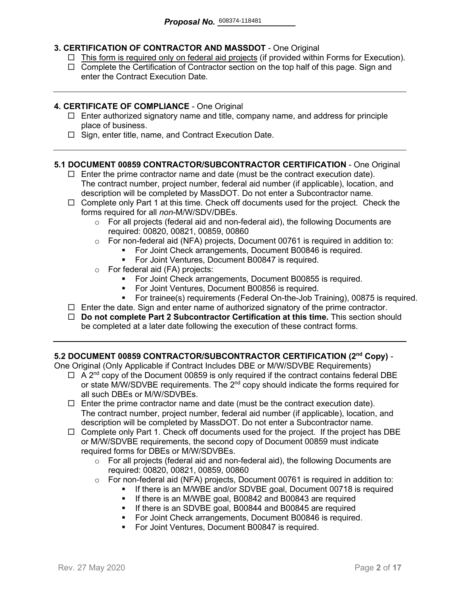### **3. CERTIFICATION OF CONTRACTOR AND MASSDOT** - One Original

- $\Box$  This form is required only on federal aid projects (if provided within Forms for Execution).
- $\Box$  Complete the Certification of Contractor section on the top half of this page. Sign and enter the Contract Execution Date.

#### **4. CERTIFICATE OF COMPLIANCE** - One Original

- $\Box$  Enter authorized signatory name and title, company name, and address for principle place of business.
- $\Box$  Sign, enter title, name, and Contract Execution Date.

#### **5.1 DOCUMENT 00859 CONTRACTOR/SUBCONTRACTOR CERTIFICATION** - One Original

- $\Box$  Enter the prime contractor name and date (must be the contract execution date). The contract number, project number, federal aid number (if applicable), location, and description will be completed by MassDOT. Do not enter a Subcontractor name.
- $\Box$  Complete only Part 1 at this time. Check off documents used for the project. Check the forms required for all *non-*M/W/SDV/DBEs.
	- $\circ$  For all projects (federal aid and non-federal aid), the following Documents are required: 00820, 00821, 00859, 00860
	- o For non-federal aid (NFA) projects, Document 00761 is required in addition to:
		- For Joint Check arrangements, Document B00846 is required.
		- **For Joint Ventures, Document B00847 is required.**
	- o For federal aid (FA) projects:
		- **For Joint Check arrangements, Document B00855 is required.**
		- For Joint Ventures, Document B00856 is required.
		- For trainee(s) requirements (Federal On-the-Job Training), 00875 is required.
- $\Box$  Enter the date. Sign and enter name of authorized signatory of the prime contractor.
- **Do not complete Part 2 Subcontractor Certification at this time.** This section should be completed at a later date following the execution of these contract forms.

#### **5.2 DOCUMENT 00859 CONTRACTOR/SUBCONTRACTOR CERTIFICATION (2nd Copy)** -

One Original (Only Applicable if Contract Includes DBE or M/W/SDVBE Requirements)

- $\Box$  A 2<sup>nd</sup> copy of the Document 00859 is only required if the contract contains federal DBE or state M/W/SDVBE requirements. The  $2^{nd}$  copy should indicate the forms required for all such DBEs or M/W/SDVBEs.
- $\Box$  Enter the prime contractor name and date (must be the contract execution date). The contract number, project number, federal aid number (if applicable), location, and description will be completed by MassDOT. Do not enter a Subcontractor name.
- $\Box$  Complete only Part 1. Check off documents used for the project. If the project has DBE or M/W/SDVBE requirements, the second copy of Document 00859 must indicate required forms for DBEs or M/W/SDVBEs.
	- $\circ$  For all projects (federal aid and non-federal aid), the following Documents are required: 00820, 00821, 00859, 00860
	- o For non-federal aid (NFA) projects, Document 00761 is required in addition to:
		- If there is an M/WBE and/or SDVBE goal, Document 00718 is required
			- **If there is an M/WBE goal, B00842 and B00843 are required**
		- **If there is an SDVBE goal, B00844 and B00845 are required**
		- **For Joint Check arrangements, Document B00846 is required.**
		- **For Joint Ventures, Document B00847 is required.**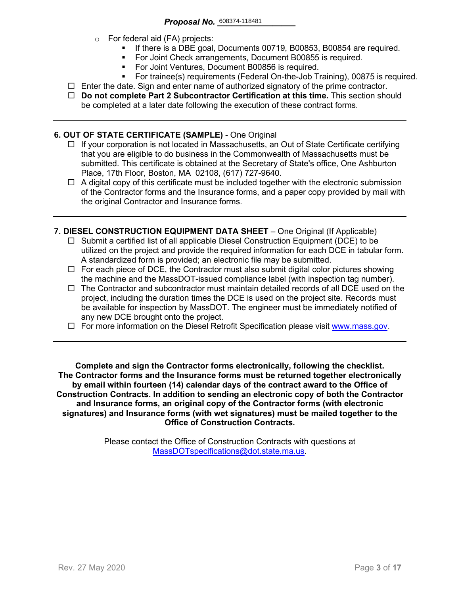- o For federal aid (FA) projects:
	- If there is a DBE goal, Documents 00719, B00853, B00854 are required.
	- For Joint Check arrangements, Document B00855 is required.
	- **For Joint Ventures, Document B00856 is required.**
	- For trainee(s) requirements (Federal On-the-Job Training), 00875 is required.
- $\Box$  Enter the date. Sign and enter name of authorized signatory of the prime contractor.
- **Do not complete Part 2 Subcontractor Certification at this time.** This section should be completed at a later date following the execution of these contract forms.

#### **6. OUT OF STATE CERTIFICATE (SAMPLE)** - One Original

- $\Box$  If your corporation is not located in Massachusetts, an Out of State Certificate certifying that you are eligible to do business in the Commonwealth of Massachusetts must be submitted. This certificate is obtained at the Secretary of State's office, One Ashburton Place, 17th Floor, Boston, MA 02108, (617) 727-9640.
- $\Box$  A digital copy of this certificate must be included together with the electronic submission of the Contractor forms and the Insurance forms, and a paper copy provided by mail with the original Contractor and Insurance forms.
- **7. DIESEL CONSTRUCTION EQUIPMENT DATA SHEET** One Original (If Applicable)
	- $\Box$  Submit a certified list of all applicable Diesel Construction Equipment (DCE) to be utilized on the project and provide the required information for each DCE in tabular form. A standardized form is provided; an electronic file may be submitted.
	- $\Box$  For each piece of DCE, the Contractor must also submit digital color pictures showing the machine and the MassDOT-issued compliance label (with inspection tag number).
	- $\Box$  The Contractor and subcontractor must maintain detailed records of all DCE used on the project, including the duration times the DCE is used on the project site. Records must be available for inspection by MassDOT. The engineer must be immediately notified of any new DCE brought onto the project.
	- $\Box$  For more information on the Diesel Retrofit Specification please visit [www.mass.gov.](https://www.mass.gov/service-details/massdot-diesel-retrofit-specification)

**Complete and sign the Contractor forms electronically, following the checklist. The Contractor forms and the Insurance forms must be returned together electronically by email within fourteen (14) calendar days of the contract award to the Office of Construction Contracts. In addition to sending an electronic copy of both the Contractor and Insurance forms, an original copy of the Contractor forms (with electronic signatures) and Insurance forms (with wet signatures) must be mailed together to the Office of Construction Contracts.**

> Please contact the Office of Construction Contracts with questions at [MassDOTspecifications@dot.state.ma.us.](mailto:MassDOTspecifications@dot.state.ma.us)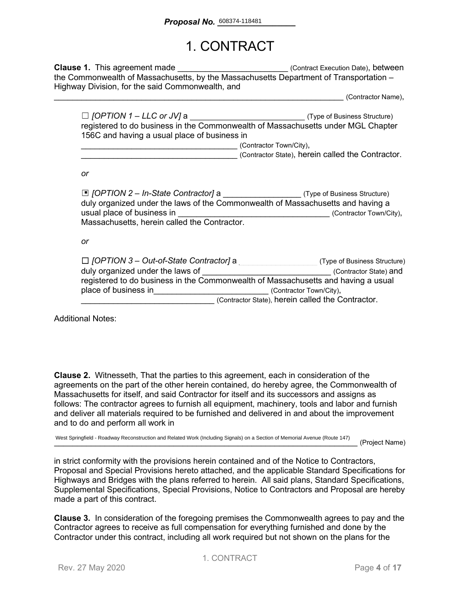### 1. CONTRACT

**Clause 1.** This agreement made **Clause 1.** This agreement made the Commonwealth of Massachusetts, by the Massachusetts Department of Transportation – Highway Division, for the said Commonwealth, and

\_\_\_\_\_\_\_\_\_\_\_\_\_\_\_\_\_\_\_\_\_\_\_\_\_\_\_\_\_\_\_\_\_\_\_\_\_\_\_\_\_\_\_\_\_\_\_\_\_\_\_\_\_\_\_\_\_\_\_\_\_\_\_ (Contractor Name),

| $\Box$ [OPTION 1 – LLC or JV] a                                                  | (Type of Business Structure) |  |
|----------------------------------------------------------------------------------|------------------------------|--|
| registered to do business in the Commonwealth of Massachusetts under MGL Chapter |                              |  |
| 156C and having a usual place of business in                                     |                              |  |
|                                                                                  | (Contractor Town/City),      |  |

\_\_\_\_\_\_\_\_\_\_\_\_\_\_\_\_\_\_\_\_\_\_\_\_\_\_\_\_\_\_\_\_\_\_ (Contractor State), herein called the Contractor.

*or*

| $\Box$ [OPTION 2 – In-State Contractor] a<br>duly organized under the laws of the Commonwealth of Massachusetts and having a |                                                   | (Type of Business Structure) |
|------------------------------------------------------------------------------------------------------------------------------|---------------------------------------------------|------------------------------|
| usual place of business in                                                                                                   |                                                   | (Contractor Town/City),      |
| Massachusetts, herein called the Contractor.                                                                                 |                                                   |                              |
|                                                                                                                              |                                                   |                              |
| or                                                                                                                           |                                                   |                              |
|                                                                                                                              |                                                   |                              |
| $\Box$ [OPTION 3 – Out-of-State Contractor] a                                                                                |                                                   | (Type of Business Structure) |
| duly organized under the laws of                                                                                             |                                                   | (Contractor State) and       |
| registered to do business in the Commonwealth of Massachusetts and having a usual                                            |                                                   |                              |
| place of business in                                                                                                         |                                                   | (Contractor Town/City),      |
|                                                                                                                              | (Contractor State), herein called the Contractor. |                              |

Additional Notes:

**Clause 2.** Witnesseth, That the parties to this agreement, each in consideration of the agreements on the part of the other herein contained, do hereby agree, the Commonwealth of Massachusetts for itself, and said Contractor for itself and its successors and assigns as follows: The contractor agrees to furnish all equipment, machinery, tools and labor and furnish and deliver all materials required to be furnished and delivered in and about the improvement and to do and perform all work in

West Springfield - Roadway Reconstruction and Related Work (Including Signals) on a Section of Memorial Avenue (Route 147)<br> **Example 20 Access 20 Access 20 Access 20 Access 20 Access 20 Access 20 Access 20 Access 20 Access** 

in strict conformity with the provisions herein contained and of the Notice to Contractors, Proposal and Special Provisions hereto attached, and the applicable Standard Specifications for Highways and Bridges with the plans referred to herein. All said plans, Standard Specifications, Supplemental Specifications, Special Provisions, Notice to Contractors and Proposal are hereby made a part of this contract.

**Clause 3.** In consideration of the foregoing premises the Commonwealth agrees to pay and the Contractor agrees to receive as full compensation for everything furnished and done by the Contractor under this contract, including all work required but not shown on the plans for the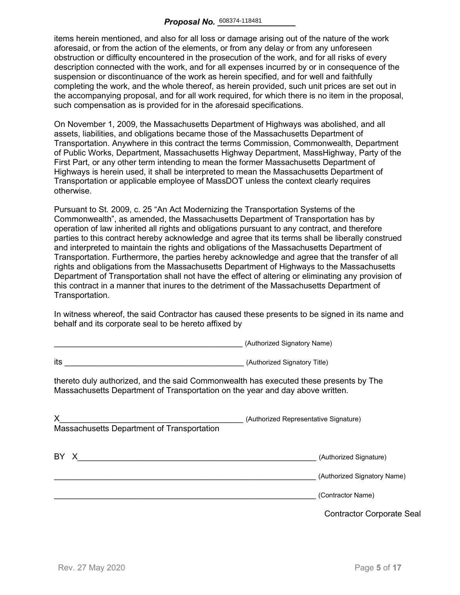items herein mentioned, and also for all loss or damage arising out of the nature of the work aforesaid, or from the action of the elements, or from any delay or from any unforeseen obstruction or difficulty encountered in the prosecution of the work, and for all risks of every description connected with the work, and for all expenses incurred by or in consequence of the suspension or discontinuance of the work as herein specified, and for well and faithfully completing the work, and the whole thereof, as herein provided, such unit prices are set out in the accompanying proposal, and for all work required, for which there is no item in the proposal, such compensation as is provided for in the aforesaid specifications.

On November 1, 2009, the Massachusetts Department of Highways was abolished, and all assets, liabilities, and obligations became those of the Massachusetts Department of Transportation. Anywhere in this contract the terms Commission, Commonwealth, Department of Public Works, Department, Massachusetts Highway Department, MassHighway, Party of the First Part, or any other term intending to mean the former Massachusetts Department of Highways is herein used, it shall be interpreted to mean the Massachusetts Department of Transportation or applicable employee of MassDOT unless the context clearly requires otherwise.

Pursuant to St. 2009, c. 25 "An Act Modernizing the Transportation Systems of the Commonwealth", as amended, the Massachusetts Department of Transportation has by operation of law inherited all rights and obligations pursuant to any contract, and therefore parties to this contract hereby acknowledge and agree that its terms shall be liberally construed and interpreted to maintain the rights and obligations of the Massachusetts Department of Transportation. Furthermore, the parties hereby acknowledge and agree that the transfer of all rights and obligations from the Massachusetts Department of Highways to the Massachusetts Department of Transportation shall not have the effect of altering or eliminating any provision of this contract in a manner that inures to the detriment of the Massachusetts Department of Transportation.

In witness whereof, the said Contractor has caused these presents to be signed in its name and behalf and its corporate seal to be hereto affixed by

\_\_\_\_\_\_\_\_\_\_\_\_\_\_\_\_\_\_\_\_\_\_\_\_\_\_\_\_\_\_\_\_\_\_\_\_\_\_\_\_\_ (Authorized Signatory Name)

| thereto duly authorized, and the said Commonwealth has executed these presents by The<br>Massachusetts Department of Transportation on the year and day above written. |
|------------------------------------------------------------------------------------------------------------------------------------------------------------------------|
| (Authorized Representative Signature)                                                                                                                                  |
| (Authorized Signature)<br>(Authorized Signatory Name)                                                                                                                  |
| (Contractor Name)<br><b>Contractor Corporate Seal</b>                                                                                                                  |
|                                                                                                                                                                        |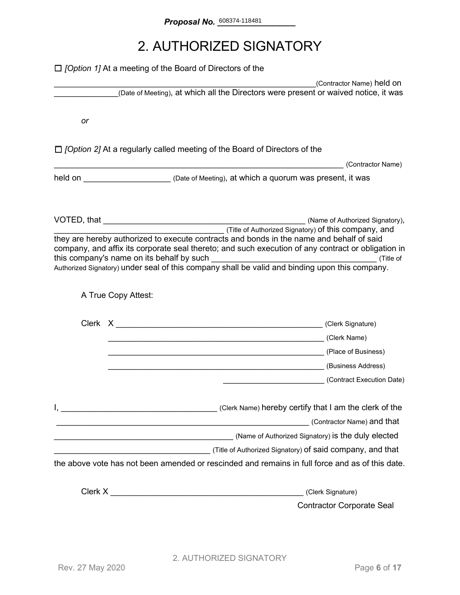## 2. AUTHORIZED SIGNATORY

|    | $\Box$ [Option 1] At a meeting of the Board of Directors of the                                                                                                                                                                                                                                                                                                 |                            |
|----|-----------------------------------------------------------------------------------------------------------------------------------------------------------------------------------------------------------------------------------------------------------------------------------------------------------------------------------------------------------------|----------------------------|
|    |                                                                                                                                                                                                                                                                                                                                                                 | (Contractor Name) held on  |
|    | (Date of Meeting), at which all the Directors were present or waived notice, it was                                                                                                                                                                                                                                                                             |                            |
| or |                                                                                                                                                                                                                                                                                                                                                                 |                            |
|    |                                                                                                                                                                                                                                                                                                                                                                 |                            |
|    | $\Box$ [Option 2] At a regularly called meeting of the Board of Directors of the                                                                                                                                                                                                                                                                                | (Contractor Name)          |
|    | held on <u>Netter Alexander (Date of Meeting), at which a quorum was present, it was</u>                                                                                                                                                                                                                                                                        |                            |
|    |                                                                                                                                                                                                                                                                                                                                                                 |                            |
|    | (Title of Authorized Signatory) <b>of this company, and</b><br>they are hereby authorized to execute contracts and bonds in the name and behalf of said<br>company, and affix its corporate seal thereto; and such execution of any contract or obligation in<br>Authorized Signatory) under seal of this company shall be valid and binding upon this company. |                            |
|    | A True Copy Attest:                                                                                                                                                                                                                                                                                                                                             |                            |
|    |                                                                                                                                                                                                                                                                                                                                                                 |                            |
|    | (Clerk Name) (Clerk Name)                                                                                                                                                                                                                                                                                                                                       |                            |
|    | Later Charles (Place of Business)                                                                                                                                                                                                                                                                                                                               |                            |
|    | (Business Address)                                                                                                                                                                                                                                                                                                                                              |                            |
|    | (Contract Execution Date)                                                                                                                                                                                                                                                                                                                                       |                            |
|    | <u> 1988 - Johann Stoff, deutscher Stoffen und der Stoffen und der Stoffen und der Stoffen und der Stoffen und d</u>                                                                                                                                                                                                                                            | (Contractor Name) and that |
|    |                                                                                                                                                                                                                                                                                                                                                                 |                            |
|    |                                                                                                                                                                                                                                                                                                                                                                 |                            |
|    | the above vote has not been amended or rescinded and remains in full force and as of this date.                                                                                                                                                                                                                                                                 |                            |
|    | (Clerk Signature)                                                                                                                                                                                                                                                                                                                                               |                            |
|    | <b>Contractor Corporate Seal</b>                                                                                                                                                                                                                                                                                                                                |                            |
|    |                                                                                                                                                                                                                                                                                                                                                                 |                            |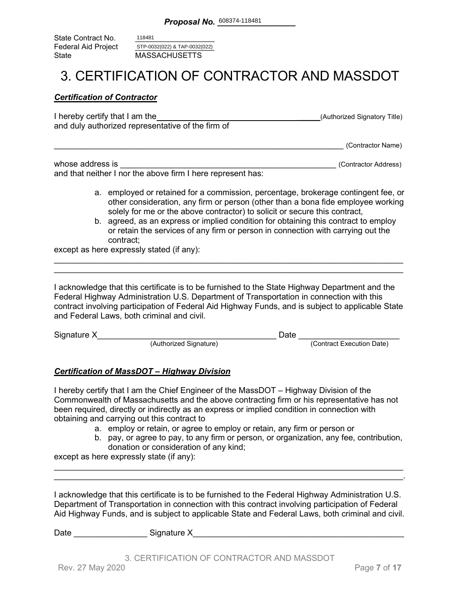State Contract No. Federal Aid Project<br>State MASSACHUSETTS 118481 STP-0032(022) & TAP-0032(022)

### 3. CERTIFICATION OF CONTRACTOR AND MASSDOT

#### *Certification of Contractor*

| I hereby certify that I am the                    | (Authorized Signatory Title) |
|---------------------------------------------------|------------------------------|
| and duly authorized representative of the firm of |                              |
|                                                   | (Contractor Name)            |

whose address is \_\_\_\_\_\_\_\_\_\_\_\_\_\_\_\_\_\_\_\_\_\_\_\_\_\_\_\_\_\_\_\_\_\_\_\_\_\_\_\_\_\_\_\_\_\_\_ (Contractor Address) and that neither I nor the above firm I here represent has:

- a. employed or retained for a commission, percentage, brokerage contingent fee, or other consideration, any firm or person (other than a bona fide employee working solely for me or the above contractor) to solicit or secure this contract,
- b. agreed, as an express or implied condition for obtaining this contract to employ or retain the services of any firm or person in connection with carrying out the contract;

except as here expressly stated (if any):

I acknowledge that this certificate is to be furnished to the State Highway Department and the Federal Highway Administration U.S. Department of Transportation in connection with this contract involving participation of Federal Aid Highway Funds, and is subject to applicable State and Federal Laws, both criminal and civil.

\_\_\_\_\_\_\_\_\_\_\_\_\_\_\_\_\_\_\_\_\_\_\_\_\_\_\_\_\_\_\_\_\_\_\_\_\_\_\_\_\_\_\_\_\_\_\_\_\_\_\_\_\_\_\_\_\_\_\_\_\_\_\_\_\_\_\_\_\_\_\_\_\_\_\_\_ \_\_\_\_\_\_\_\_\_\_\_\_\_\_\_\_\_\_\_\_\_\_\_\_\_\_\_\_\_\_\_\_\_\_\_\_\_\_\_\_\_\_\_\_\_\_\_\_\_\_\_\_\_\_\_\_\_\_\_\_\_\_\_\_\_\_\_\_\_\_\_\_\_\_\_\_

| Signature X |                        | Date |                           |
|-------------|------------------------|------|---------------------------|
|             | (Authorized Signature) |      | (Contract Execution Date) |

### *Certification of MassDOT – Highway Division*

I hereby certify that I am the Chief Engineer of the MassDOT – Highway Division of the Commonwealth of Massachusetts and the above contracting firm or his representative has not been required, directly or indirectly as an express or implied condition in connection with obtaining and carrying out this contract to

- a. employ or retain, or agree to employ or retain, any firm or person or
- b. pay, or agree to pay, to any firm or person, or organization, any fee, contribution, donation or consideration of any kind;

except as here expressly state (if any):

I acknowledge that this certificate is to be furnished to the Federal Highway Administration U.S. Department of Transportation in connection with this contract involving participation of Federal Aid Highway Funds, and is subject to applicable State and Federal Laws, both criminal and civil.

\_\_\_\_\_\_\_\_\_\_\_\_\_\_\_\_\_\_\_\_\_\_\_\_\_\_\_\_\_\_\_\_\_\_\_\_\_\_\_\_\_\_\_\_\_\_\_\_\_\_\_\_\_\_\_\_\_\_\_\_\_\_\_\_\_\_\_\_\_\_\_\_\_\_\_\_ \_\_\_\_\_\_\_\_\_\_\_\_\_\_\_\_\_\_\_\_\_\_\_\_\_\_\_\_\_\_\_\_\_\_\_\_\_\_\_\_\_\_\_\_\_\_\_\_\_\_\_\_\_\_\_\_\_\_\_\_\_\_\_\_\_\_\_\_\_\_\_\_\_\_\_\_.

Date \_\_\_\_\_\_\_\_\_\_\_\_\_\_\_\_ Signature X\_\_\_\_\_\_\_\_\_\_\_\_\_\_\_\_\_\_\_\_\_\_\_\_\_\_\_\_\_\_\_\_\_\_\_\_\_\_\_\_\_\_\_\_\_\_

3. CERTIFICATION OF CONTRACTOR AND MASSDOT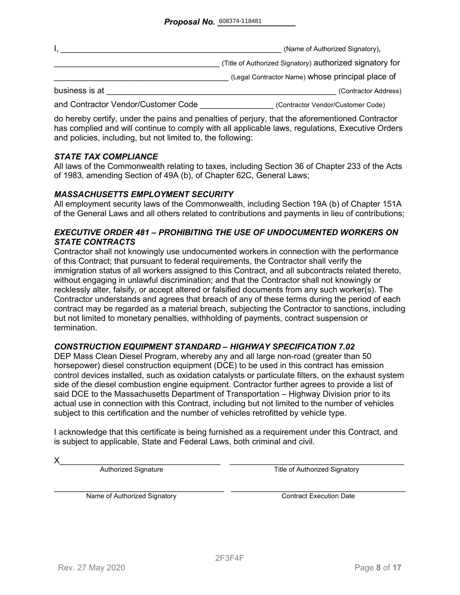|                                     | (Name of Authorized Signatory),                          |
|-------------------------------------|----------------------------------------------------------|
|                                     | (Title of Authorized Signatory) authorized signatory for |
|                                     | (Legal Contractor Name) whose principal place of         |
| business is at                      | (Contractor Address)                                     |
| and Contractor Vendor/Customer Code | (Contractor Vendor/Customer Code)                        |

do hereby certify, under the pains and penalties of perjury, that the aforementioned Contractor has complied and will continue to comply with all applicable laws, regulations, Executive Orders and policies, including, but not limited to, the following:

#### *STATE TAX COMPLIANCE*

All laws of the Commonwealth relating to taxes, including Section 36 of Chapter 233 of the Acts of 1983, amending Section of 49A (b), of Chapter 62C, General Laws;

#### *MASSACHUSETTS EMPLOYMENT SECURITY*

All employment security laws of the Commonwealth, including Section 19A (b) of Chapter 151A of the General Laws and all others related to contributions and payments in lieu of contributions;

#### *EXECUTIVE ORDER 481 – PROHIBITING THE USE OF UNDOCUMENTED WORKERS ON STATE CONTRACTS*

Contractor shall not knowingly use undocumented workers in connection with the performance of this Contract; that pursuant to federal requirements, the Contractor shall verify the immigration status of all workers assigned to this Contract, and all subcontracts related thereto, without engaging in unlawful discrimination; and that the Contractor shall not knowingly or recklessly alter, falsify, or accept altered or falsified documents from any such worker(s). The Contractor understands and agrees that breach of any of these terms during the period of each contract may be regarded as a material breach, subjecting the Contractor to sanctions, including but not limited to monetary penalties, withholding of payments, contract suspension or termination.

#### *CONSTRUCTION EQUIPMENT STANDARD – HIGHWAY SPECIFICATION 7.02*

DEP Mass Clean Diesel Program, whereby any and all large non-road (greater than 50 horsepower) diesel construction equipment (DCE) to be used in this contract has emission control devices installed, such as oxidation catalysts or particulate filters, on the exhaust system side of the diesel combustion engine equipment. Contractor further agrees to provide a list of said DCE to the Massachusetts Department of Transportation – Highway Division prior to its actual use in connection with this Contract, including but not limited to the number of vehicles subject to this certification and the number of vehicles retrofitted by vehicle type.

I acknowledge that this certificate is being furnished as a requirement under this Contract, and is subject to applicable, State and Federal Laws, both criminal and civil.

X\_\_\_\_\_\_\_\_\_\_\_\_\_\_\_\_\_\_\_\_\_\_\_\_\_\_\_\_\_\_\_\_\_\_\_ \_\_\_\_\_\_\_\_\_\_\_\_\_\_\_\_\_\_\_\_\_\_\_\_\_\_\_\_\_\_\_\_\_\_\_\_\_\_ Authorized Signature Title of Authorized Signatory

Name of Authorized Signatory **Execution Contract Execution Date**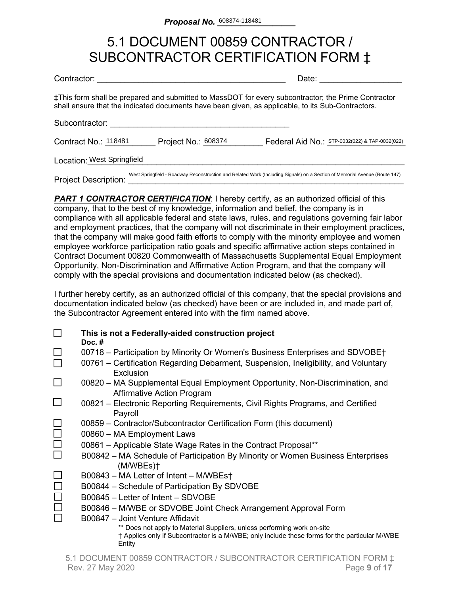### 5.1 DOCUMENT 00859 CONTRACTOR / SUBCONTRACTOR CERTIFICATION FORM ‡

| Contractor:                 |                     | Date:                                                                                                                                                                                                    |
|-----------------------------|---------------------|----------------------------------------------------------------------------------------------------------------------------------------------------------------------------------------------------------|
|                             |                     | ‡This form shall be prepared and submitted to MassDOT for every subcontractor; the Prime Contractor<br>shall ensure that the indicated documents have been given, as applicable, to its Sub-Contractors. |
| Subcontractor:              |                     |                                                                                                                                                                                                          |
| Contract No.: 118481        | Project No.: 608374 | Federal Aid No.: STP-0032(022) & TAP-0032(022)                                                                                                                                                           |
| Location: West Springfield  |                     |                                                                                                                                                                                                          |
| <b>Project Description:</b> |                     | West Springfield - Roadway Reconstruction and Related Work (Including Signals) on a Section of Memorial Avenue (Route 147)                                                                               |

**PART 1 CONTRACTOR CERTIFICATION:** I hereby certify, as an authorized official of this company, that to the best of my knowledge, information and belief, the company is in compliance with all applicable federal and state laws, rules, and regulations governing fair labor and employment practices, that the company will not discriminate in their employment practices, that the company will make good faith efforts to comply with the minority employee and women employee workforce participation ratio goals and specific affirmative action steps contained in Contract Document 00820 Commonwealth of Massachusetts Supplemental Equal Employment Opportunity, Non-Discrimination and Affirmative Action Program, and that the company will comply with the special provisions and documentation indicated below (as checked).

I further hereby certify, as an authorized official of this company, that the special provisions and documentation indicated below (as checked) have been or are included in, and made part of, the Subcontractor Agreement entered into with the firm named above.

|        | This is not a Federally-aided construction project<br>Doc. $#$                                                                                                                     |
|--------|------------------------------------------------------------------------------------------------------------------------------------------------------------------------------------|
|        | 00718 – Participation by Minority Or Women's Business Enterprises and SDVOBE†                                                                                                      |
|        | 00761 – Certification Regarding Debarment, Suspension, Ineligibility, and Voluntary<br>Exclusion                                                                                   |
|        | 00820 – MA Supplemental Equal Employment Opportunity, Non-Discrimination, and<br><b>Affirmative Action Program</b>                                                                 |
|        | 00821 – Electronic Reporting Requirements, Civil Rights Programs, and Certified<br>Payroll                                                                                         |
|        | 00859 – Contractor/Subcontractor Certification Form (this document)                                                                                                                |
| $\Box$ | 00860 - MA Employment Laws                                                                                                                                                         |
| $\Box$ | 00861 - Applicable State Wage Rates in the Contract Proposal**                                                                                                                     |
|        | B00842 – MA Schedule of Participation By Minority or Women Business Enterprises<br>(M/WBEs)                                                                                        |
|        | B00843 - MA Letter of Intent - M/WBEst                                                                                                                                             |
|        | B00844 - Schedule of Participation By SDVOBE                                                                                                                                       |
|        | B00845 - Letter of Intent - SDVOBE                                                                                                                                                 |
|        | B00846 - M/WBE or SDVOBE Joint Check Arrangement Approval Form                                                                                                                     |
|        | B00847 - Joint Venture Affidavit                                                                                                                                                   |
|        | ** Does not apply to Material Suppliers, unless performing work on-site<br>† Applies only if Subcontractor is a M/WBE; only include these forms for the particular M/WBE<br>Entity |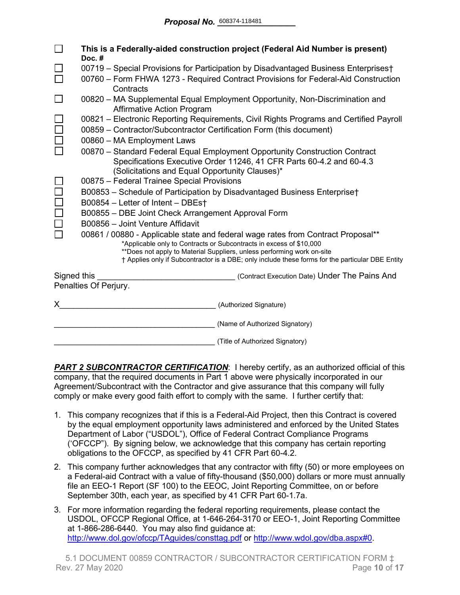|                                                                                       | This is a Federally-aided construction project (Federal Aid Number is present)<br>Doc.#                                                                 |  |  |
|---------------------------------------------------------------------------------------|---------------------------------------------------------------------------------------------------------------------------------------------------------|--|--|
|                                                                                       | 00719 - Special Provisions for Participation by Disadvantaged Business Enterprises†                                                                     |  |  |
|                                                                                       | 00760 – Form FHWA 1273 - Required Contract Provisions for Federal-Aid Construction<br>Contracts                                                         |  |  |
|                                                                                       | 00820 - MA Supplemental Equal Employment Opportunity, Non-Discrimination and<br><b>Affirmative Action Program</b>                                       |  |  |
|                                                                                       | 00821 - Electronic Reporting Requirements, Civil Rights Programs and Certified Payroll                                                                  |  |  |
|                                                                                       | 00859 - Contractor/Subcontractor Certification Form (this document)                                                                                     |  |  |
|                                                                                       | 00860 - MA Employment Laws                                                                                                                              |  |  |
|                                                                                       | 00870 - Standard Federal Equal Employment Opportunity Construction Contract                                                                             |  |  |
|                                                                                       | Specifications Executive Order 11246, 41 CFR Parts 60-4.2 and 60-4.3                                                                                    |  |  |
|                                                                                       | (Solicitations and Equal Opportunity Clauses)*                                                                                                          |  |  |
|                                                                                       | 00875 - Federal Trainee Special Provisions                                                                                                              |  |  |
|                                                                                       | B00853 - Schedule of Participation by Disadvantaged Business Enterprise†                                                                                |  |  |
|                                                                                       | B00854 - Letter of Intent - DBEst                                                                                                                       |  |  |
|                                                                                       | B00855 - DBE Joint Check Arrangement Approval Form                                                                                                      |  |  |
|                                                                                       | B00856 - Joint Venture Affidavit                                                                                                                        |  |  |
|                                                                                       | 00861 / 00880 - Applicable state and federal wage rates from Contract Proposal**<br>*Applicable only to Contracts or Subcontracts in excess of \$10,000 |  |  |
|                                                                                       | **Does not apply to Material Suppliers, unless performing work on-site                                                                                  |  |  |
|                                                                                       | † Applies only if Subcontractor is a DBE; only include these forms for the particular DBE Entity                                                        |  |  |
| Signed this<br>(Contract Execution Date) Under The Pains And<br>Penalties Of Perjury. |                                                                                                                                                         |  |  |
|                                                                                       |                                                                                                                                                         |  |  |
| X.                                                                                    | (Authorized Signature)                                                                                                                                  |  |  |
|                                                                                       | (Name of Authorized Signatory)                                                                                                                          |  |  |
|                                                                                       | (Title of Authorized Signatory)                                                                                                                         |  |  |

**PART 2 SUBCONTRACTOR CERTIFICATION:** I hereby certify, as an authorized official of this company, that the required documents in Part 1 above were physically incorporated in our Agreement/Subcontract with the Contractor and give assurance that this company will fully comply or make every good faith effort to comply with the same. I further certify that:

- 1. This company recognizes that if this is a Federal-Aid Project, then this Contract is covered by the equal employment opportunity laws administered and enforced by the United States Department of Labor ("USDOL"), Office of Federal Contract Compliance Programs ('OFCCP"). By signing below, we acknowledge that this company has certain reporting obligations to the OFCCP, as specified by 41 CFR Part 60-4.2.
- 2. This company further acknowledges that any contractor with fifty (50) or more employees on a Federal-aid Contract with a value of fifty-thousand (\$50,000) dollars or more must annually file an EEO-1 Report (SF 100) to the EEOC, Joint Reporting Committee, on or before September 30th, each year, as specified by 41 CFR Part 60-1.7a.
- 3. For more information regarding the federal reporting requirements, please contact the USDOL, OFCCP Regional Office, at 1-646-264-3170 or EEO-1, Joint Reporting Committee at 1-866-286-6440. You may also find guidance at: <http://www.dol.gov/ofccp/TAguides/consttag.pdf> or [http://www.wdol.gov/dba.aspx#0.](http://www.wdol.gov/dba.aspx#0)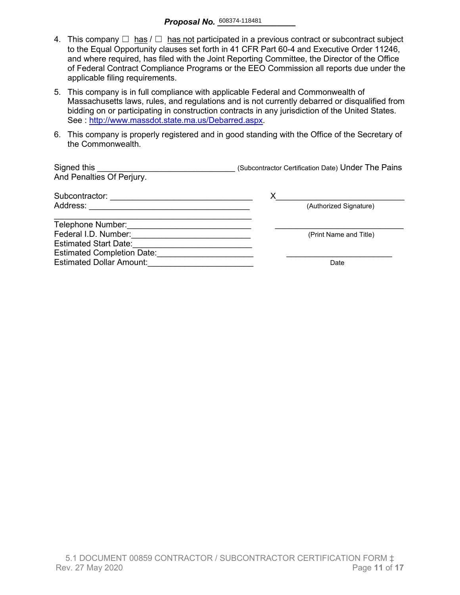- 4. This company  $\Box$  has  $\Box$  has not participated in a previous contract or subcontract subject to the Equal Opportunity clauses set forth in 41 CFR Part 60-4 and Executive Order 11246, and where required, has filed with the Joint Reporting Committee, the Director of the Office of Federal Contract Compliance Programs or the EEO Commission all reports due under the applicable filing requirements.
- 5. This company is in full compliance with applicable Federal and Commonwealth of Massachusetts laws, rules, and regulations and is not currently debarred or disqualified from bidding on or participating in construction contracts in any jurisdiction of the United States. See : http://www.massdot.state.ma.us/Debarred.aspx.
- 6. This company is properly registered and in good standing with the Office of the Secretary of the Commonwealth.

| Signed this<br>And Penalties Of Perjury. | (Subcontractor Certification Date) Under The Pains |
|------------------------------------------|----------------------------------------------------|
| Subcontractor:                           | Х                                                  |
| Address:                                 | (Authorized Signature)                             |
| Telephone Number:                        |                                                    |
| Federal I.D. Number:                     | (Print Name and Title)                             |
| <b>Estimated Start Date:</b>             |                                                    |
| <b>Estimated Completion Date:</b>        |                                                    |
| <b>Estimated Dollar Amount:</b>          | Date                                               |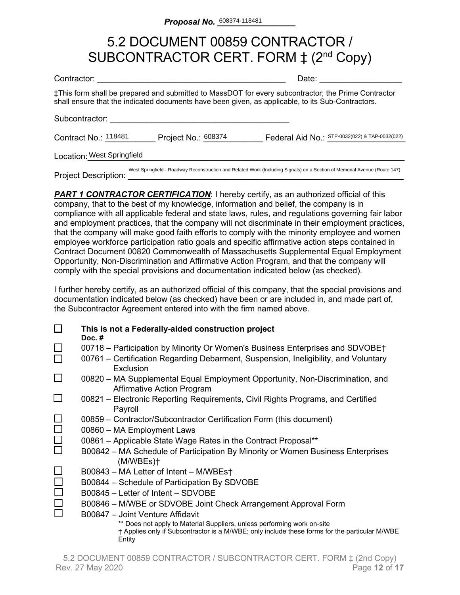### 5.2 DOCUMENT 00859 CONTRACTOR / SUBCONTRACTOR CERT. FORM  $\ddagger$  (2<sup>nd</sup> Copy)

| Contractor:                 |                     | Date:                                                                                                                                                                                                    |
|-----------------------------|---------------------|----------------------------------------------------------------------------------------------------------------------------------------------------------------------------------------------------------|
|                             |                     | ‡This form shall be prepared and submitted to MassDOT for every subcontractor; the Prime Contractor<br>shall ensure that the indicated documents have been given, as applicable, to its Sub-Contractors. |
| Subcontractor:              |                     |                                                                                                                                                                                                          |
| Contract No.: 118481        | Project No.: 608374 | Federal Aid No.: STP-0032(022) & TAP-0032(022)                                                                                                                                                           |
| Location: West Springfield  |                     |                                                                                                                                                                                                          |
| <b>Project Description:</b> |                     | West Springfield - Roadway Reconstruction and Related Work (Including Signals) on a Section of Memorial Avenue (Route 147)                                                                               |

**PART 1 CONTRACTOR CERTIFICATION:** I hereby certify, as an authorized official of this company, that to the best of my knowledge, information and belief, the company is in compliance with all applicable federal and state laws, rules, and regulations governing fair labor and employment practices, that the company will not discriminate in their employment practices, that the company will make good faith efforts to comply with the minority employee and women employee workforce participation ratio goals and specific affirmative action steps contained in Contract Document 00820 Commonwealth of Massachusetts Supplemental Equal Employment Opportunity, Non-Discrimination and Affirmative Action Program, and that the company will comply with the special provisions and documentation indicated below (as checked).

I further hereby certify, as an authorized official of this company, that the special provisions and documentation indicated below (as checked) have been or are included in, and made part of, the Subcontractor Agreement entered into with the firm named above.

|        | This is not a Federally-aided construction project<br>Doc. $#$                                                                                                                     |
|--------|------------------------------------------------------------------------------------------------------------------------------------------------------------------------------------|
|        | 00718 – Participation by Minority Or Women's Business Enterprises and SDVOBE†<br>00761 - Certification Regarding Debarment, Suspension, Ineligibility, and Voluntary               |
|        | Exclusion                                                                                                                                                                          |
| $\Box$ | 00820 – MA Supplemental Equal Employment Opportunity, Non-Discrimination, and<br><b>Affirmative Action Program</b>                                                                 |
| ⊔      | 00821 – Electronic Reporting Requirements, Civil Rights Programs, and Certified<br>Payroll                                                                                         |
|        | 00859 – Contractor/Subcontractor Certification Form (this document)                                                                                                                |
|        | 00860 - MA Employment Laws                                                                                                                                                         |
| $\Box$ | 00861 – Applicable State Wage Rates in the Contract Proposal**                                                                                                                     |
|        | B00842 – MA Schedule of Participation By Minority or Women Business Enterprises<br>(M/WBEs)                                                                                        |
|        | B00843 – MA Letter of Intent – M/WBEs†                                                                                                                                             |
|        | B00844 - Schedule of Participation By SDVOBE                                                                                                                                       |
|        | B00845 - Letter of Intent - SDVOBE                                                                                                                                                 |
|        | B00846 - M/WBE or SDVOBE Joint Check Arrangement Approval Form                                                                                                                     |
|        | B00847 - Joint Venture Affidavit                                                                                                                                                   |
|        | ** Does not apply to Material Suppliers, unless performing work on-site<br>† Applies only if Subcontractor is a M/WBE; only include these forms for the particular M/WBE<br>Entity |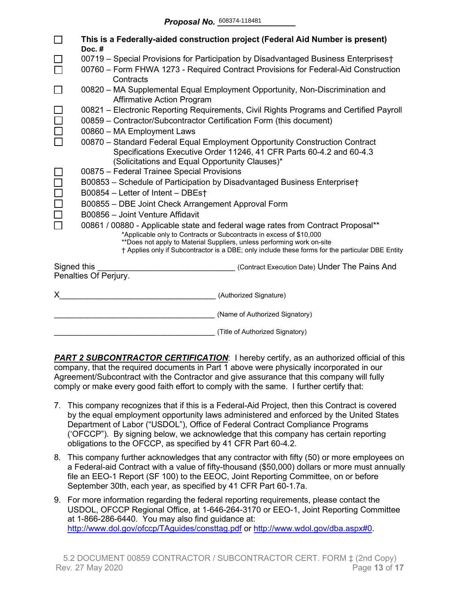|             | This is a Federally-aided construction project (Federal Aid Number is present)<br>Doc.#                                                                                                                                                                                                                                               |  |  |  |  |  |  |  |  |  |  |
|-------------|---------------------------------------------------------------------------------------------------------------------------------------------------------------------------------------------------------------------------------------------------------------------------------------------------------------------------------------|--|--|--|--|--|--|--|--|--|--|
|             | 00719 - Special Provisions for Participation by Disadvantaged Business Enterprises†                                                                                                                                                                                                                                                   |  |  |  |  |  |  |  |  |  |  |
|             | 00760 - Form FHWA 1273 - Required Contract Provisions for Federal-Aid Construction<br>Contracts                                                                                                                                                                                                                                       |  |  |  |  |  |  |  |  |  |  |
|             | 00820 - MA Supplemental Equal Employment Opportunity, Non-Discrimination and<br><b>Affirmative Action Program</b>                                                                                                                                                                                                                     |  |  |  |  |  |  |  |  |  |  |
|             | 00821 - Electronic Reporting Requirements, Civil Rights Programs and Certified Payroll<br>00859 - Contractor/Subcontractor Certification Form (this document)                                                                                                                                                                         |  |  |  |  |  |  |  |  |  |  |
|             | 00860 - MA Employment Laws                                                                                                                                                                                                                                                                                                            |  |  |  |  |  |  |  |  |  |  |
|             | 00870 - Standard Federal Equal Employment Opportunity Construction Contract<br>Specifications Executive Order 11246, 41 CFR Parts 60-4.2 and 60-4.3<br>(Solicitations and Equal Opportunity Clauses)*                                                                                                                                 |  |  |  |  |  |  |  |  |  |  |
|             | 00875 - Federal Trainee Special Provisions                                                                                                                                                                                                                                                                                            |  |  |  |  |  |  |  |  |  |  |
|             | B00853 - Schedule of Participation by Disadvantaged Business Enterprise†                                                                                                                                                                                                                                                              |  |  |  |  |  |  |  |  |  |  |
|             | B00854 - Letter of Intent - DBEs†                                                                                                                                                                                                                                                                                                     |  |  |  |  |  |  |  |  |  |  |
|             | B00855 - DBE Joint Check Arrangement Approval Form                                                                                                                                                                                                                                                                                    |  |  |  |  |  |  |  |  |  |  |
|             | B00856 - Joint Venture Affidavit                                                                                                                                                                                                                                                                                                      |  |  |  |  |  |  |  |  |  |  |
|             | 00861 / 00880 - Applicable state and federal wage rates from Contract Proposal**<br>*Applicable only to Contracts or Subcontracts in excess of \$10,000<br>**Does not apply to Material Suppliers, unless performing work on-site<br>† Applies only if Subcontractor is a DBE; only include these forms for the particular DBE Entity |  |  |  |  |  |  |  |  |  |  |
| Signed this | (Contract Execution Date) Under The Pains And                                                                                                                                                                                                                                                                                         |  |  |  |  |  |  |  |  |  |  |
|             | Penalties Of Perjury.                                                                                                                                                                                                                                                                                                                 |  |  |  |  |  |  |  |  |  |  |
|             | (Authorized Signature)                                                                                                                                                                                                                                                                                                                |  |  |  |  |  |  |  |  |  |  |
|             | (Name of Authorized Signatory)                                                                                                                                                                                                                                                                                                        |  |  |  |  |  |  |  |  |  |  |
|             | (Title of Authorized Signatory)                                                                                                                                                                                                                                                                                                       |  |  |  |  |  |  |  |  |  |  |

**PART 2 SUBCONTRACTOR CERTIFICATION:** I hereby certify, as an authorized official of this company, that the required documents in Part 1 above were physically incorporated in our Agreement/Subcontract with the Contractor and give assurance that this company will fully comply or make every good faith effort to comply with the same. I further certify that:

- 7. This company recognizes that if this is a Federal-Aid Project, then this Contract is covered by the equal employment opportunity laws administered and enforced by the United States Department of Labor ("USDOL"), Office of Federal Contract Compliance Programs ('OFCCP"). By signing below, we acknowledge that this company has certain reporting obligations to the OFCCP, as specified by 41 CFR Part 60-4.2.
- 8. This company further acknowledges that any contractor with fifty (50) or more employees on a Federal-aid Contract with a value of fifty-thousand (\$50,000) dollars or more must annually file an EEO-1 Report (SF 100) to the EEOC, Joint Reporting Committee, on or before September 30th, each year, as specified by 41 CFR Part 60-1.7a.
- 9. For more information regarding the federal reporting requirements, please contact the USDOL, OFCCP Regional Office, at 1-646-264-3170 or EEO-1, Joint Reporting Committee at 1-866-286-6440. You may also find guidance at: <http://www.dol.gov/ofccp/TAguides/consttag.pdf> or [http://www.wdol.gov/dba.aspx#0.](http://www.wdol.gov/dba.aspx#0)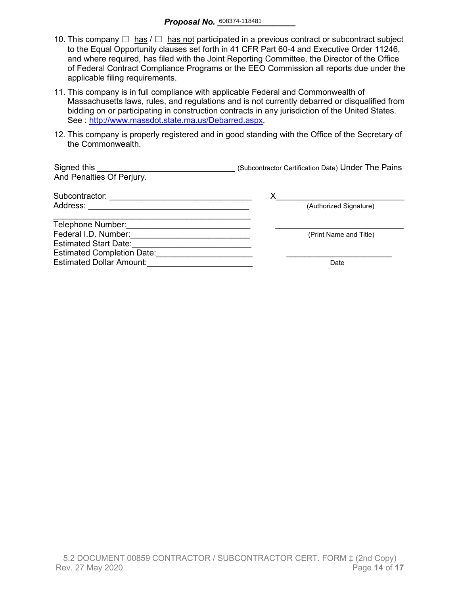- 10. This company  $\Box$  has  $\Box$  has not participated in a previous contract or subcontract subject to the Equal Opportunity clauses set forth in 41 CFR Part 60-4 and Executive Order 11246, and where required, has filed with the Joint Reporting Committee, the Director of the Office of Federal Contract Compliance Programs or the EEO Commission all reports due under the applicable filing requirements.
- 11. This company is in full compliance with applicable Federal and Commonwealth of Massachusetts laws, rules, and regulations and is not currently debarred or disqualified from bidding on or participating in construction contracts in any jurisdiction of the United States. See : [http://www.massdot.state.ma.us/Debarred.aspx.](http://www.massdot.state.ma.us/Debarred.aspx)
- 12. This company is properly registered and in good standing with the Office of the Secretary of the Commonwealth.

| Signed this<br>And Penalties Of Perjury. | (Subcontractor Certification Date) Under The Pains |
|------------------------------------------|----------------------------------------------------|
| Subcontractor:                           | х                                                  |
| Address:                                 | (Authorized Signature)                             |
| Telephone Number:                        |                                                    |
| Federal I.D. Number:                     | (Print Name and Title)                             |
| <b>Estimated Start Date:</b>             |                                                    |
| <b>Estimated Completion Date:</b>        |                                                    |
| <b>Estimated Dollar Amount:</b>          | Date                                               |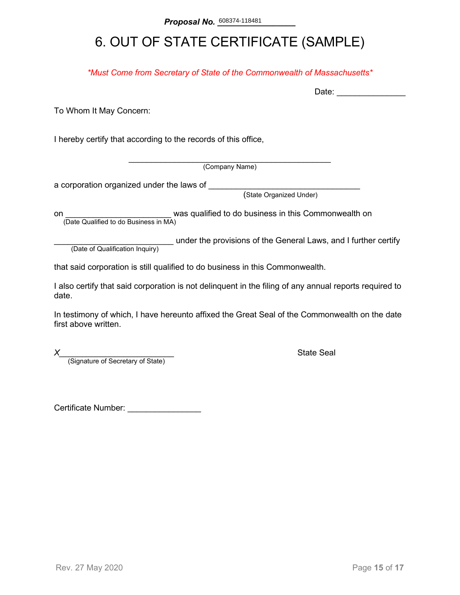# 6. OUT OF STATE CERTIFICATE (SAMPLE)

*\*Must Come from Secretary of State of the Commonwealth of Massachusetts\**

To Whom It May Concern:

I hereby certify that according to the records of this office,

\_\_\_\_\_\_\_\_\_\_\_\_\_\_\_\_\_\_\_\_\_\_\_\_\_\_\_\_\_\_\_\_\_\_\_\_\_\_\_\_\_\_\_\_ (Company Name)

a corporation organized under the laws of \_\_\_\_\_\_\_\_

(State Organized Under)

on **on Example 2** was qualified to do business in this Commonwealth on (Date Qualified to do Business in MA)

(Date of Qualification Inquiry) under the provisions of the General Laws, and I further certify (Date of Qualification Inquiry)

that said corporation is still qualified to do business in this Commonwealth.

I also certify that said corporation is not delinquent in the filing of any annual reports required to date.

In testimony of which, I have hereunto affixed the Great Seal of the Commonwealth on the date first above written.

*X*<br>(Signature of Secretary of State) **Alternative State Seal State Seal Alternative State** 

Certificate Number: \_\_\_\_\_\_\_\_\_\_\_\_\_\_\_\_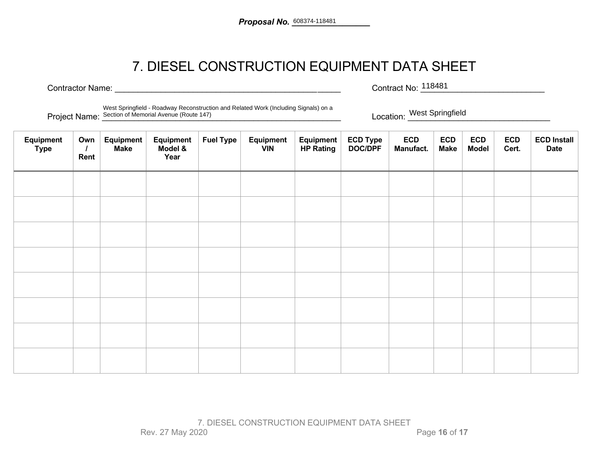## 7. DIESEL CONSTRUCTION EQUIPMENT DATA SHEET

Contractor Name: <u>Contractor Name:</u> Exercise Contract No: <sup>118481</sup> Contract No: 118481

Project Name: Section of Memorial Avenue (Route 147) **Example 20 and Section**: *Location:* West Springfield **Location:** New Springfield West Springfield - Roadway Reconstruction and Related Work (Including Signals) on a

Location: West Springfield

| Equipment<br><b>Type</b> | Own<br>Rent | Equipment<br><b>Make</b> | Equipment<br>Model &<br>Year | <b>Fuel Type</b> | Equipment<br><b>VIN</b> | Equipment<br><b>HP Rating</b> | ECD Type<br>DOC/DPF | <b>ECD</b><br>Manufact. | <b>ECD</b><br><b>Make</b> | <b>ECD</b><br><b>Model</b> | <b>ECD</b><br>Cert. | <b>ECD Install</b><br><b>Date</b> |
|--------------------------|-------------|--------------------------|------------------------------|------------------|-------------------------|-------------------------------|---------------------|-------------------------|---------------------------|----------------------------|---------------------|-----------------------------------|
|                          |             |                          |                              |                  |                         |                               |                     |                         |                           |                            |                     |                                   |
|                          |             |                          |                              |                  |                         |                               |                     |                         |                           |                            |                     |                                   |
|                          |             |                          |                              |                  |                         |                               |                     |                         |                           |                            |                     |                                   |
|                          |             |                          |                              |                  |                         |                               |                     |                         |                           |                            |                     |                                   |
|                          |             |                          |                              |                  |                         |                               |                     |                         |                           |                            |                     |                                   |
|                          |             |                          |                              |                  |                         |                               |                     |                         |                           |                            |                     |                                   |
|                          |             |                          |                              |                  |                         |                               |                     |                         |                           |                            |                     |                                   |
|                          |             |                          |                              |                  |                         |                               |                     |                         |                           |                            |                     |                                   |